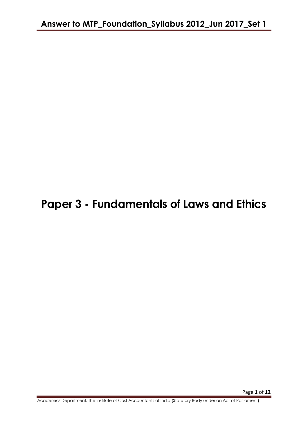# **Paper 3 - Fundamentals of Laws and Ethics**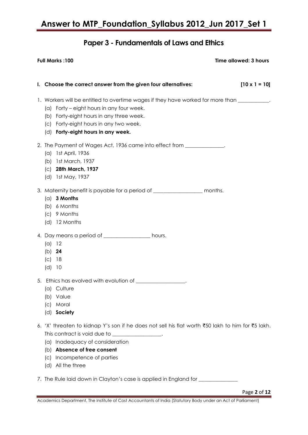## **Paper 3 - Fundamentals of Laws and Ethics**

| $[10 \times 1 = 10]$<br>I. Choose the correct answer from the given four alternatives:<br>1. Workers will be entitled to overtime wages if they have worked for more than _________.<br>(a) Forty – eight hours in any four week.                                              |  |
|--------------------------------------------------------------------------------------------------------------------------------------------------------------------------------------------------------------------------------------------------------------------------------|--|
|                                                                                                                                                                                                                                                                                |  |
| (b) Forty-eight hours in any three week.<br>(c) Forty-eight hours in any two week.<br>(d) Forty-eight hours in any week.                                                                                                                                                       |  |
| 2. The Payment of Wages Act, 1936 came into effect from _____________.<br>(a) 1st April, 1936<br>1st March, 1937<br>(b)<br>(c) 28th March, 1937<br>(d) 1st May, 1937                                                                                                           |  |
| 3. Maternity benefit is payable for a period of ____________________ months.<br>$(a)$ 3 Months<br>(b) 6 Months<br>(c) 9 Months<br>(d) 12 Months                                                                                                                                |  |
| 4. Day means a period of __________________ hours.<br>(a) 12<br>(b) $24$<br>(c)<br>18<br>(d)<br>10                                                                                                                                                                             |  |
| 5. Ethics has evolved with evolution of ________________.<br>Culture<br>(a)<br>Value<br>(b)<br>Moral<br>(C)<br>Society<br>(d)                                                                                                                                                  |  |
| 6. 'X' threaten to kidnap Y's son if he does not sell his flat worth ₹50 lakh to him for ₹5 lakh.<br>This contract is void due to _______________.<br>(a) Inadequacy of consideration<br>(b) Absence of free consent<br>Incompetence of parties<br>(C)<br>All the three<br>(d) |  |
| 7. The Rule laid down in Clayton's case is applied in England for ________<br>Page 2 of 12                                                                                                                                                                                     |  |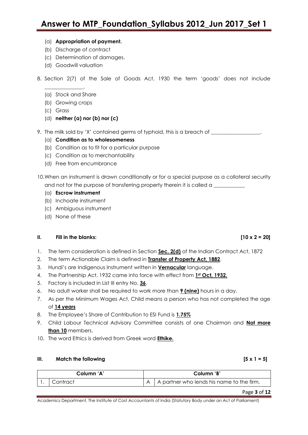#### (a) **Appropriation of payment.**

- (b) Discharge of contract
- (c) Determination of damages.
- (d) Goodwill valuation
- 8. Section 2(7) of the Sale of Goods Act, 1930 the term "goods" does not include
	- (a) Stock and Share

\_\_\_\_\_\_\_\_\_\_\_\_\_\_\_.

- (b) Growing crops
- (c) Grass
- (d) **neither (a) nor (b) nor (c)**
- 9. The milk sold by 'X' contained germs of typhoid, this is a breach of \_\_\_\_\_\_\_\_\_
	- (a) **Condition as to wholesomeness**
	- (b) Condition as to fit for a particular purpose
	- (c) Condition as to merchantability
	- (d) Free from encumbrance
- 10.When an instrument is drawn conditionally or for a special purpose as a collateral security and not for the purpose of transferring property therein it is called a \_\_\_\_\_\_\_\_
	- (a) **Escrow instrument**
	- (b) Inchoate instrument
	- (c) Ambiguous instrument
	- (d) None of these

#### **II. Fill in the blanks: [10 x 2 = 20]**

- 1. The term consideration is defined in Section **Sec. 2(d)** of the Indian Contract Act, 1872
- 2. The term Actionable Claim is defined in **Transfer of Property Act, 1882**.
- 3. Hundi"s are Indigenous Instrument written in **Vernacular** language.
- 4. The Partnership Act, 1932 came into force with effect from **1st Oct, 1932.**
- 5. Factory is included in List III entry No. **36**.
- 6. No adult worker shall be required to work more than **9 (nine)** hours in a day.
- 7. As per the Minimum Wages Act, Child means a person who has not completed the age of **14 years**
- 8. The Employee"s Share of Contribution to ESI Fund is **1.75%**
- 9. Child Labour Technical Advisory Committee consists of one Chairman and **Not more than 10** members.
- 10. The word Ethics is derived from Greek word **Ethike.**

#### **III. Match the following** *CO*

| Column 'A' |         | Column 'B' |                                           |  |
|------------|---------|------------|-------------------------------------------|--|
|            | ontract |            | A partner who lends his name to the firm. |  |

Page **3** of **12**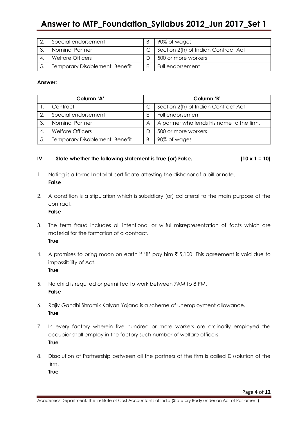| Special endorsement                  | 90% of wages                        |
|--------------------------------------|-------------------------------------|
| Nominal Partner                      | Section 2(h) of Indian Contract Act |
| <b>Welfare Officers</b>              | 500 or more workers                 |
| <b>Temporary Disablement Benefit</b> | Full endorsement                    |

#### **Answer:**

| Column 'A' |                                      |   | Column 'B'                                |  |  |
|------------|--------------------------------------|---|-------------------------------------------|--|--|
|            | Contract                             |   | Section 2(h) of Indian Contract Act       |  |  |
| 2.         | Special endorsement                  |   | Full endorsement                          |  |  |
| 3.         | Nominal Partner                      | A | A partner who lends his name to the firm. |  |  |
|            | <b>Welfare Officers</b>              | D | 500 or more workers                       |  |  |
|            | <b>Temporary Disablement Benefit</b> | B | 90% of wages                              |  |  |

#### IV. State whether the following statement is True (or) False.  $[10 \times 1 = 10]$

- 1. Noting is a formal notorial certificate attesting the dishonor of a bill or note. **False**
- 2. A condition is a stipulation which is subsidiary (or) collateral to the main purpose of the contract.

### **False**

- 3. The term fraud includes all intentional or wilful misrepresentation of facts which are material for the formation of a contract. **True**
- 4. A promises to bring moon on earth if 'B' pay him  $\bar{\tau}$  5,100. This agreement is void due to impossibility of Act.

**True**

- 5. No child is required or permitted to work between 7AM to 8 PM. **False**
- 6. Rajiv Gandhi Shramik Kalyan Yojana is a scheme of unemployment allowance. **True**
- 7. In every factory wherein five hundred or more workers are ordinarily employed the occupier shall employ in the factory such number of welfare officers. **True**
- 8. Dissolution of Partnership between all the partners of the firm is called Dissolution of the firm.

**True**

Academics Department, The Institute of Cost Accountants of India (Statutory Body under an Act of Parliament)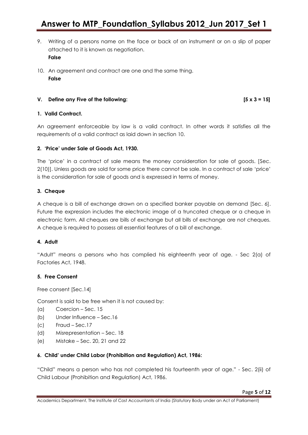- 9. Writing of a persons name on the face or back of an instrument or on a slip of paper attached to it is known as negotiation. **False**
- 10. An agreement and contract are one and the same thing. **False**

#### **V. Define any Five of the following: [5 x 3 = 15]**

#### **1. Valid Contract.**

An agreement enforceable by law is a valid contract. In other words it satisfies all the requirements of a valid contract as laid down in section 10.

#### **2. 'Price' under Sale of Goods Act, 1930.**

The 'price' in a contract of sale means the money consideration for sale of goods. [Sec. 2(10)]. Unless goods are sold for some price there cannot be sale. In a contract of sale "price" is the consideration for sale of goods and is expressed in terms of money.

#### **3. Cheque**

A cheque is a bill of exchange drawn on a specified banker payable on demand [Sec. 6]. Future the expression includes the electronic image of a truncated cheque or a cheque in electronic form. All cheques are bills of exchange but all bills of exchange are not cheques. A cheque is required to possess all essential features of a bill of exchange.

#### **4. Adult**

"Adult" means a persons who has complied his eighteenth year of age. - Sec 2(a) of Factories Act, 1948.

### **5. Free Consent**

Free consent [Sec.14]

Consent is said to be free when it is not caused by:

- (a) Coercion Sec. 15
- (b) Under Influence Sec.16
- (c) Fraud Sec.17
- (d) Misrepresentation Sec. 18
- (e) Mistake Sec. 20, 21 and 22

#### **6. Child' under Child Labor (Prohibition and Regulation) Act, 1986:**

"Child" means a person who has not completed his fourteenth year of age." - Sec. 2(ii) of Child Labour (Prohibition and Regulation) Act, 1986.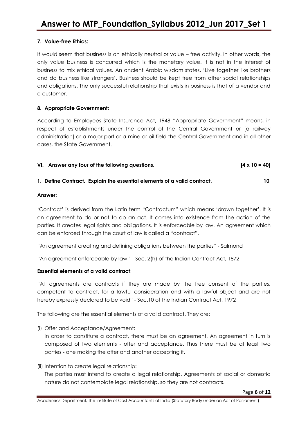### **7. Value-free Ethics:**

It would seem that business is an ethically neutral or value – free activity. In other words, the only value business is concurred which is the monetary value. It is not in the interest of business to mix ethical values. An ancient Arabic wisdom states, "Live together like brothers and do business like strangers". Business should be kept free from other social relationships and obligations. The only successful relationship that exists in business is that of a vendor and a customer.

#### **8. Appropriate Government:**

According to Employees State Insurance Act, 1948 "Appropriate Government" means, in respect of establishments under the control of the Central Government or [a railway administration] or a major port or a mine or oil field the Central Government and in all other cases, the State Government.

VI. Answer any four of the following questions. 
$$
[4 \times 10 = 40]
$$

#### **1. Define Contract. Explain the essential elements of a valid contract. 10**

#### **Answer:**

"Contract" is derived from the Latin term "Contractum" which means "drawn together". It is an agreement to do or not to do an act. It comes into existence from the action of the parties. It creates legal rights and obligations. It is enforceable by law. An agreement which can be enforced through the court of law is called a "contract".

"An agreement creating and defining obligations between the parties" - Salmond

"An agreement enforceable by law" – Sec. 2(h) of the Indian Contract Act, 1872

### **Essential elements of a valid contract**:

"All agreements are contracts if they are made by the free consent of the parties, competent to contract, for a lawful consideration and with a lawful object and are not hereby expressly declared to be void" - Sec.10 of the Indian Contract Act, 1972

The following are the essential elements of a valid contract. They are:

(i) Offer and Acceptance/Agreement:

In order to constitute a contract, there must be an agreement. An agreement in turn is composed of two elements - offer and acceptance. Thus there must be at least two parties - one making the offer and another accepting it.

(ii) Intention to create legal relationship:

The parties must intend to create a legal relationship. Agreements of social or domestic nature do not contemplate legal relationship, so they are not contracts.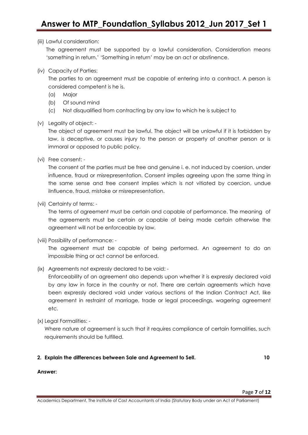#### (iii) Lawful consideration:

The agreement must be supported by a lawful consideration. Consideration means "something in return." "Something in return" may be an act or abstinence.

(iv) Capacity of Parties:

The parties to an agreement must be capable of entering into a contract. A person is considered competent is he is.

- (a) Major
- (b) Of sound mind
- (c) Not disqualified from contracting by any law to which he is subject to
- (v) Legality of object: -

The object of agreement must be lawful. The object will be unlawful if it is forbidden by law, is deceptive, or causes injury to the person or property of another person or is immoral or opposed to public policy.

(vi) Free consent: -

The consent of the parties must be free and genuine i. e. not induced by coersion, under influence, fraud or misrepresentation. Consent implies agreeing upon the same thing in the same sense and free consent implies which is not vitiated by coercion, undue iInfluence, fraud, mistake or misrepresentation.

(vii) Certainty of terms: -

The terms of agreement must be certain and capable of performance. The meaning of the agreements must be certain or capable of being made certain otherwise the agreement will not be enforceable by law.

(viii) Possibility of performance: -

The agreement must be capable of being performed. An agreement to do an impossible thing or act cannot be enforced.

(ix) Agreements not expressly declared to be void: -

Enforceability of an agreement also depends upon whether it is expressly declared void by any law in force in the country or not. There are certain agreements which have been expressly declared void under various sections of the Indian Contract Act, like agreement in restraint of marriage, trade or legal proceedings, wagering agreement etc.

(x) Legal Formalities: -

Where nature of agreement is such that it requires compliance of certain formalities, such requirements should be fulfilled.

#### **2. Explain the differences between Sale and Agreement to Sell. 10**

**Answer:**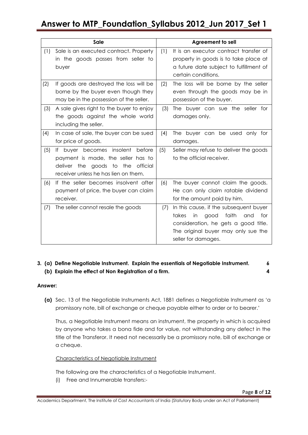|     | <b>Sale</b>                                                                                                                                                     |     | <b>Agreement to sell</b>                                                                                                                                                                   |
|-----|-----------------------------------------------------------------------------------------------------------------------------------------------------------------|-----|--------------------------------------------------------------------------------------------------------------------------------------------------------------------------------------------|
| (1) | Sale is an executed contract. Property<br>in the goods passes from seller to<br>buyer                                                                           | (1) | It is an executor contract transfer of<br>property in goods is to take place at<br>a future date subject to fulfillment of<br>certain conditions.                                          |
| (2) | If goods are destroyed the loss will be<br>borne by the buyer even though they<br>may be in the possession of the seller.                                       | (2) | The loss will be borne by the seller<br>even through the goods may be in<br>possession of the buyer.                                                                                       |
| (3) | A sale gives right to the buyer to enjoy<br>the goods against the whole world<br>including the seller.                                                          | (3) | The buyer can sue the seller for<br>damages only.                                                                                                                                          |
| (4) | In case of sale, the buyer can be sued<br>for price of goods.                                                                                                   | (4) | The buyer can be used only for<br>damages.                                                                                                                                                 |
| (5) | buyer becomes insolent<br>before<br>lf<br>payment is made, the seller has to<br>deliver the goods to<br>the<br>official<br>receiver unless he has lien on them. | (5) | Seller may refuse to deliver the goods<br>to the official receiver.                                                                                                                        |
| (6) | If the seller becomes insolvent after<br>payment of price, the buyer can claim<br>receiver.                                                                     | (6) | The buyer cannot claim the goods.<br>He can only claim ratable dividend<br>for the amount paid by him.                                                                                     |
| (7) | The seller cannot resale the goods                                                                                                                              | (7) | In this cause, if the subsequent buyer<br>takes<br>faith<br>good<br>and<br>for<br>in<br>consideration, he gets a good title.<br>The original buyer may only sue the<br>seller for damages. |

### **3. (a) Define Negotiable Instrument. Explain the essentials of Negotiable Instrument. 6 (b) Explain the effect of Non Registration of a firm. 4**

#### **Answer:**

**(a)** Sec. 13 of the Negotiable Instruments Act, 1881 defines a Negotiable Instrument as "a promissory note, bill of exchange or cheque payable either to order or to bearer."

Thus, a Negotiable Instrument means an instrument, the property in which is acquired by anyone who takes a bona fide and for value, not withstanding any defect in the title of the Transferor. It need not necessarily be a promissory note, bill of exchange or a cheque.

#### Characteristics of Negotiable Instrument

The following are the characteristics of a Negotiable Instrument.

(i) Free and Innumerable transfers:-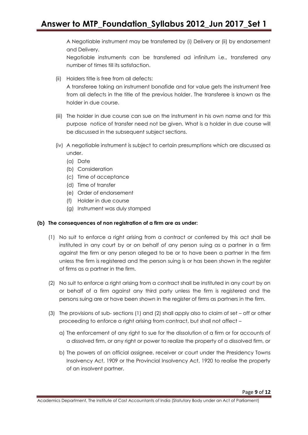A Negotiable instrument may be transferred by (i) Delivery or (ii) by endorsement and Delivery.

Negotiable instruments can be transferred ad infinitum i.e., transferred any number of times till its satisfaction.

(ii) Holders title is free from all defects:

A transferee taking an instrument bonafide and for value gets the instrument free from all defects in the title of the previous holder. The transferee is known as the holder in due course.

- (iii) The holder in due course can sue on the instrument in his own name and for this purpose notice of transfer need not be given. What is a holder in due course will be discussed in the subsequent subject sections.
- (iv) A negotiable instrument is subject to certain presumptions which are discussed as under.
	- (a) Date
	- (b) Consideration
	- (c) Time of acceptance
	- (d) Time of transfer
	- (e) Order of endorsement
	- (f) Holder in due course
	- (g) Instrument was duly stamped

#### **(b) The consequences of non registration of a firm are as under:**

- (1) No suit to enforce a right arising from a contract or conferred by this act shall be instituted in any court by or on behalf of any person suing as a partner in a firm against the firm or any person alleged to be or to have been a partner in the firm unless the firm is registered and the person suing is or has been shown in the register of firms as a partner in the firm.
- (2) No suit to enforce a right arising from a contract shall be instituted in any court by on or behalf of a firm against any third party unless the firm is registered and the persons suing are or have been shown in the register of firms as partners in the firm.
- (3) The provisions of sub- sections (1) and (2) shall apply also to claim of set off or other proceeding to enforce a right arising from contract, but shall not affect –
	- a) The enforcement of any right to sue for the dissolution of a firm or for accounts of a dissolved firm, or any right or power to realize the property of a dissolved firm, or
	- b) The powers of an official assignee, receiver or court under the Presidency Towns Insolvency Act, 1909 or the Provincial Insolvency Act, 1920 to realise the property of an insolvent partner.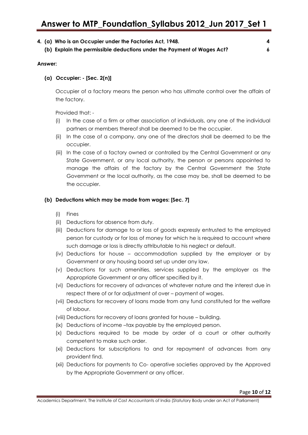|  | 4. (a) Who is an Occupier under the Factories Act, 1948.               |  |
|--|------------------------------------------------------------------------|--|
|  | (b) Explain the permissible deductions under the Payment of Wages Act? |  |

#### **Answer:**

#### **(a) Occupier: - [Sec. 2(n)]**

Occupier of a factory means the person who has ultimate control over the affairs of the factory.

Provided that: -

- (i) In the case of a firm or other association of individuals, any one of the individual partners or members thereof shall be deemed to be the occupier.
- (ii) In the case of a company, any one of the directors shall be deemed to be the occupier.
- (iii) In the case of a factory owned or controlled by the Central Government or any State Government, or any local authority, the person or persons appointed to manage the affairs of the factory by the Central Government the State Government or the local authority, as the case may be, shall be deemed to be the occupier.

#### **(b) Deductions which may be made from wages: [Sec. 7]**

- (i) Fines
- (ii) Deductions for absence from duty.
- (iii) Deductions for damage to or loss of goods expressly entrusted to the employed person for custody or for loss of money for which he is required to account where such damage or loss is directly attributable to his neglect or default.
- (iv) Deductions for house accommodation supplied by the employer or by Government or any housing board set up under any law.
- (v) Deductions for such amenities, services supplied by the employer as the Appropriate Government or any officer specified by it.
- (vi) Deductions for recovery of advances of whatever nature and the interest due in respect there of or for adjustment of over – payment of wages.
- (vii) Deductions for recovery of loans made from any fund constituted for the welfare of lobour.
- (viii) Deductions for recovery of loans granted for house building.
- (ix) Deductions of income –tax payable by the employed person.
- (x) Deductions required to be made by order of a court or other authority competent to make such order.
- (xi) Deductions for subscriptions to and for repayment of advances from any provident find.
- (xii) Deductions for payments to Co- operative societies approved by the Approved by the Appropriate Government or any officer.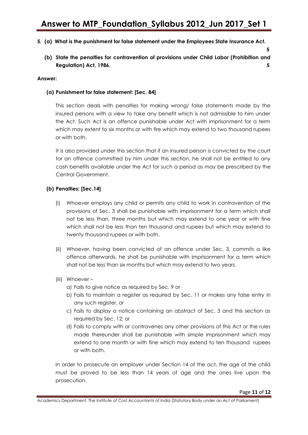#### **5. (a) What is the punishment for false statement under the Employees State Insurance Act.**

**(b) State the penalties for contravention of provisions under Child Labor (Prohibition and Regulation) Act, 1986. 5** 

#### **Answer:**

#### **(a) Punishment for false statement: [Sec. 84]**

This section deals with penalties for making wrong/ false statements made by the insured persons with a view to take any benefit which is not admissible to him under the Act. Such Act is an offence punishable under Act with imprisonment for a term which may extent to six months or with fire which may extend to two thousand rupees or with both.

It is also provided under this section that if an insured person is convicted by the court for an offence committed by him under this section, he shall not be entitled to any cash benefits available under the Act for such a period as may be prescribed by the Central Government.

#### **(b) Penalties: [Sec.14]**

- (i) Whoever employs any child or permits any child to work in contravention of the provisions of Sec. 3 shall be punishable with imprisonment for a term which shall not be less than, three months but which may extend to one year or with fine which shall not be less than ten thousand and rupees but which may extend to twenty thousand rupees or with both.
- (ii) Whoever, having been convicted of an offence under Sec. 3, commits a like offence afterwards, he shall be punishable with imprisonment for a term which shall not be less than six months but which may extend to two years.
- (iii) Whoever -

a) Fails to give notice as required by Sec. 9 or

- b) Fails to maintain a register as required by Sec. 11 or makes any false entry in any such register, or
- c) Fails to display a notice containing an abstract of Sec. 3 and this section as required by Sec. 12; or
- d) Fails to comply with or contravenes any other provisions of this Act or the rules made thereunder shall be punishable with simple imprisonment which may extend to one month or with fine which may extend to ten thousand rupees or with both.

In order to prosecute an employer under Section 14 of the act, the age of the child must be proved to be less than 14 years of age and the ones live upon the prosecution.

 **5** 

Academics Department, The Institute of Cost Accountants of India (Statutory Body under an Act of Parliament)